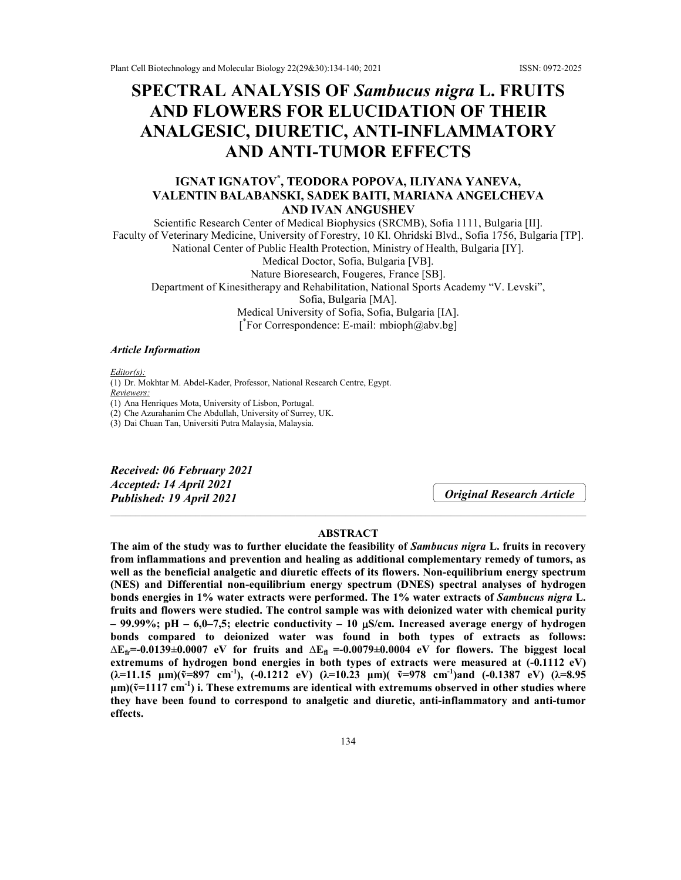# **SPECTRAL ANALYSIS OF** *Sambucus nigra* **L. FRUITS AND FLOWERS FOR ELUCIDATION OF THEIR ANALGESIC, DIURETIC, ANTI-INFLAMMATORY AND ANTI-TUMOR EFFECTS**

## **IGNAT IGNATOV\* , TEODORA POPOVA, ILIYANA YANEVA, VALENTIN BALABANSKI, SADEK BAITI, MARIANA ANGELCHEVA AND IVAN ANGUSHEV**

Scientific Research Center of Medical Biophysics (SRCMB), Sofia 1111, Bulgaria [II]. Faculty of Veterinary Medicine, University of Forestry, 10 Kl. Ohridski Blvd., Sofia 1756, Bulgaria [TP]. National Center of Public Health Protection, Ministry of Health, Bulgaria [IY]. Medical Doctor, Sofia, Bulgaria [VB]. Nature Bioresearch, Fougeres, France [SB]. Department of Kinesitherapy and Rehabilitation, National Sports Academy "V. Levski", Sofia, Bulgaria [MA]. Medical University of Sofia, Sofia, Bulgaria [IA]. [ \* For Correspondence: E-mail: mbioph@abv.bg]

#### *Article Information*

*Editor(s):* (1) Dr. Mokhtar M. Abdel-Kader, Professor, National Research Centre, Egypt. *Reviewers:* (1) Ana Henriques Mota, University of Lisbon, Portugal. (2) Che Azurahanim Che Abdullah, University of Surrey, UK. (3) Dai Chuan Tan, Universiti Putra Malaysia, Malaysia.

*Received: 06 February 2021 Accepted: 14 April 2021 Published: 19 April 2021*

*Original Research Article*

## **ABSTRACT**

 $\_$  , and the set of the set of the set of the set of the set of the set of the set of the set of the set of the set of the set of the set of the set of the set of the set of the set of the set of the set of the set of th

**The aim of the study was to further elucidate the feasibility of** *Sambucus nigra* **L. fruits in recovery from inflammations and prevention and healing as additional complementary remedy of tumors, as well as the beneficial analgetic and diuretic effects of its flowers. Non-equilibrium energy spectrum (NES) and Differential non-equilibrium energy spectrum (DNES) spectral analyses of hydrogen bonds energies in 1% water extracts were performed. The 1% water extracts of** *Sambucus nigra* **L. fruits and flowers were studied. The control sample was with deionized water with chemical purity – 99.99%; pH – 6,0–7,5; electric conductivity – 10 S/cm. Increased average energy of hydrogen bonds compared to deionized water was found in both types of extracts as follows:**   $\Delta E_f$ =-0.0139±0.0007 eV for fruits and  $\Delta E_f$  =-0.0079±0.0004 eV for flowers. The biggest local extremums of hydrogen bond energies in both types of extracts were measured at  $(-0.1112 \text{ eV})$  $(\lambda=11.15 \mu m)(\tilde{v}=897 \text{ cm}^{-1}),$  (-0.1212 eV)  $(\lambda=10.23 \mu m)(\tilde{v}=978 \text{ cm}^{-1})$  and (-0.1387 eV)  $(\lambda=8.95 \text{ cm}^{-1})$ **μm)(ṽ=1117 cm-1 ) i. These extremums are identical with extremums observed in other studies where they have been found to correspond to analgetic and diuretic, anti-inflammatory and anti-tumor effects.**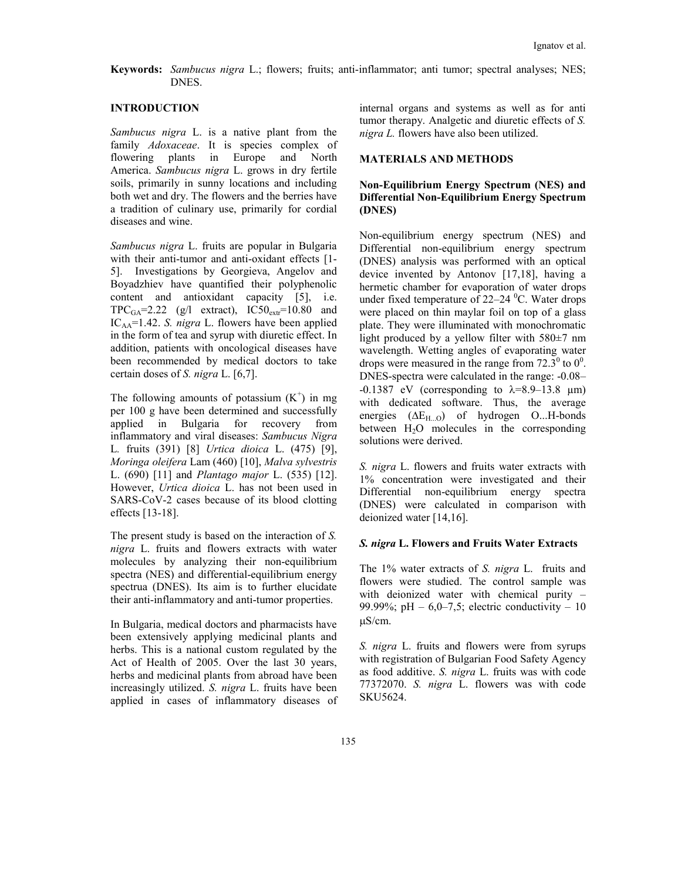## **Keywords:** *Sambucus nigra* L.; flowers; fruits; anti-inflammator; anti tumor; spectral analyses; NES; DNES.

## **INTRODUCTION**

*Sambucus nigra* L. is a native plant from the family *Adoxaceae*. It is species complex of flowering plants in Europe and North America. *Sambucus nigra* L. grows in dry fertile soils, primarily in sunny locations and including both wet and dry. The flowers and the berries have a tradition of culinary use, primarily for cordial diseases and wine.

*Sambucus nigra* L. fruits are popular in Bulgaria with their anti-tumor and anti-oxidant effects [1-5]. Investigations by Georgieva, Angelov and Boyadzhiev have quantified their polyphenolic content and antioxidant capacity [5], i.e.  $TPC_{GA} = 2.22$  (g/l extract),  $IC50_{ext} = 10.80$  and ICAA=1.42. *S. nigra* L. flowers have been applied in the form of tea and syrup with diuretic effect. In addition, patients with oncological diseases have been recommended by medical doctors to take certain doses of *S. nigra* L. [6,7].

The following amounts of potassium  $(K^+)$  in mg per 100 g have been determined and successfully applied in Bulgaria for recovery from inflammatory and viral diseases: *Sambucus Nigra*  L*.* fruits (391) [8] *Urtica dioica* L. (475) [9], *Moringa oleifera* Lam (460) [10], *Malva sylvestris* L. (690) [11] and *Plantago major* L. (535) [12]. However, *Urtica dioica* L. has not been used in SARS-CoV-2 cases because of its blood clotting effects [13-18].

The present study is based on the interaction of *S. nigra* L. fruits and flowers extracts with water molecules by analyzing their non-equilibrium spectra (NES) and differential-equilibrium energy spectrua (DNES). Its aim is to further elucidate their anti-inflammatory and anti-tumor properties.

In Bulgaria, medical doctors and pharmacists have been extensively applying medicinal plants and herbs. This is a national custom regulated by the Act of Health of 2005. Over the last 30 years, herbs and medicinal plants from abroad have been increasingly utilized. *S. nigra* L. fruits have been applied in cases of inflammatory diseases of internal organs and systems as well as for anti tumor therapy. Analgetic and diuretic effects of *S. nigra L.* flowers have also been utilized.

## **MATERIALS AND METHODS**

## **Non-Equilibrium Energy Spectrum (NES) and Differential Non-Equilibrium Energy Spectrum (DNES)**

Non-equilibrium energy spectrum (NES) and Differential non-equilibrium energy spectrum (DNES) analysis was performed with an optical device invented by Antonov [17,18], having a hermetic chamber for evaporation of water drops under fixed temperature of  $22-24$  °C. Water drops were placed on thin maylar foil on top of a glass plate. They were illuminated with monochromatic light produced by a yellow filter with 580±7 nm wavelength. Wetting angles of evaporating water drops were measured in the range from  $72.3^{\circ}$  to  $0^{\circ}$ . DNES-spectra were calculated in the range: -0.08–  $-0.1387$  eV (corresponding to  $\lambda = 8.9 - 13.8$  µm) with dedicated software. Thus, the average energies (ΔE<sub>H...O</sub>) of hydrogen O...H-bonds between  $H_2O$  molecules in the corresponding solutions were derived.

*S. nigra* L. flowers and fruits water extracts with 1% concentration were investigated and their Differential non-equilibrium energy spectra (DNES) were calculated in comparison with deionized water [14,16].

#### *S. nigra* **L. Flowers and Fruits Water Extracts**

The 1% water extracts of *S. nigra* L. fruits and flowers were studied. The control sample was with deionized water with chemical purity – 99.99%; pH  $-6.0-7.5$ ; electric conductivity  $-10$ S/cm.

*S. nigra* L. fruits and flowers were from syrups with registration of Bulgarian Food Safety Agency as food additive. *S. nigra* L. fruits was with code 77372070. *S. nigra* L. flowers was with code SKU5624.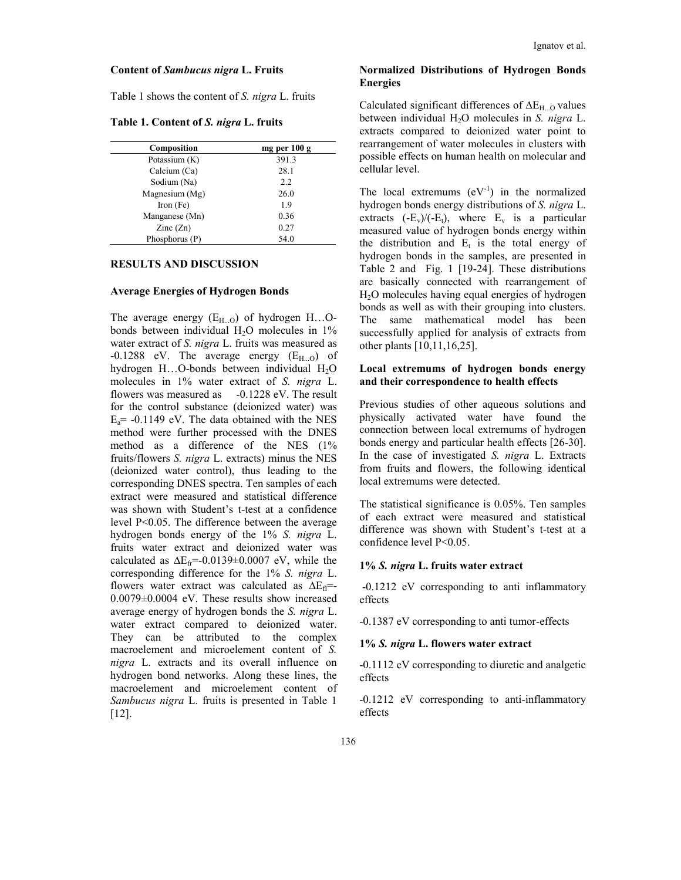#### **Content of** *Sambucus nigra* **L. Fruits**

Table 1 shows the content of *S. nigra* L. fruits

**Table 1. Content of** *S. nigra* **L. fruits**

| <b>Composition</b>       | mg per 100 g |  |  |
|--------------------------|--------------|--|--|
| Potassium (K)            | 391.3        |  |  |
| Calcium (Ca)             | 28.1         |  |  |
| Sodium (Na)              | 2.2          |  |  |
| Magnesium $(Mg)$         | 26.0         |  |  |
| Iron $(Fe)$              | 1.9          |  |  |
| Manganese (Mn)           | 0.36         |  |  |
| $\text{Zinc}(\text{Zn})$ | 0.27         |  |  |
| Phosphorus (P)           | 54.0         |  |  |

#### **RESULTS AND DISCUSSION**

#### **Average Energies of Hydrogen Bonds**

The average energy  $(E_{H...O})$  of hydrogen  $H...O$ bonds between individual  $H_2O$  molecules in 1% water extract of *S. nigra* L. fruits was measured as  $-0.1288$  eV. The average energy  $(E_{H,0})$  of hydrogen  $H...O$ -bonds between individual  $H<sub>2</sub>O$ molecules in 1% water extract of *S. nigra* L. flowers was measured as -0.1228 eV. The result for the control substance (deionized water) was  $E_a$ = -0.1149 eV. The data obtained with the NES method were further processed with the DNES method as a difference of the NES (1% fruits/flowers *S. nigra* L. extracts) minus the NES (deionized water control), thus leading to the corresponding DNES spectra. Ten samples of each extract were measured and statistical difference was shown with Student's t-test at a confidence level P<0.05. The difference between the average hydrogen bonds energy of the 1% *S. nigra* L. fruits water extract and deionized water was calculated as  $\Delta E_f = -0.0139 \pm 0.0007$  eV, while the corresponding difference for the 1% *S. nigra* L. flowers water extract was calculated as  $\Delta E_{\text{fl}}$ =-0.0079±0.0004 eV. These results show increased average energy of hydrogen bonds the *S. nigra* L. water extract compared to deionized water. They can be attributed to the complex macroelement and microelement content of *S. nigra* L. extracts and its overall influence on hydrogen bond networks. Along these lines, the macroelement and microelement content of *Sambucus nigra* L. fruits is presented in Table 1 [12].

## **Normalized Distributions of Hydrogen Bonds Energies**

Calculated significant differences of  $\Delta E_{H\dots O}$  values between individual H2O molecules in *S. nigra* L. extracts compared to deionized water point to rearrangement of water molecules in clusters with possible effects on human health on molecular and cellular level.

The local extremums  $(eV^{-1})$  in the normalized hydrogen bonds energy distributions of *S. nigra* L. extracts  $(-E_v)/(-E_t)$ , where  $E_v$  is a particular measured value of hydrogen bonds energy within the distribution and  $E_t$  is the total energy of hydrogen bonds in the samples, are presented in Table 2 and Fig. 1 [19-24]. These distributions are basically connected with rearrangement of H2O molecules having equal energies of hydrogen bonds as well as with their grouping into clusters. The same mathematical model has been successfully applied for analysis of extracts from other plants [10,11,16,25].

## **Local extremums of hydrogen bonds energy and their correspondence to health effects**

Previous studies of other aqueous solutions and physically activated water have found the connection between local extremums of hydrogen bonds energy and particular health effects [26-30]. In the case of investigated *S. nigra* L. Extracts from fruits and flowers, the following identical local extremums were detected.

The statistical significance is 0.05%. Ten samples of each extract were measured and statistical difference was shown with Student's t-test at a confidence level P<0.05.

#### **1%** *S. nigra* **L. fruits water extract**

-0.1212 eV corresponding to anti inflammatory effects

-0.1387 eV corresponding to anti tumor-effects

#### **1%** *S. nigra* **L. flowers water extract**

-0.1112 eV corresponding to diuretic and analgetic effects

-0.1212 eV corresponding to anti-inflammatory effects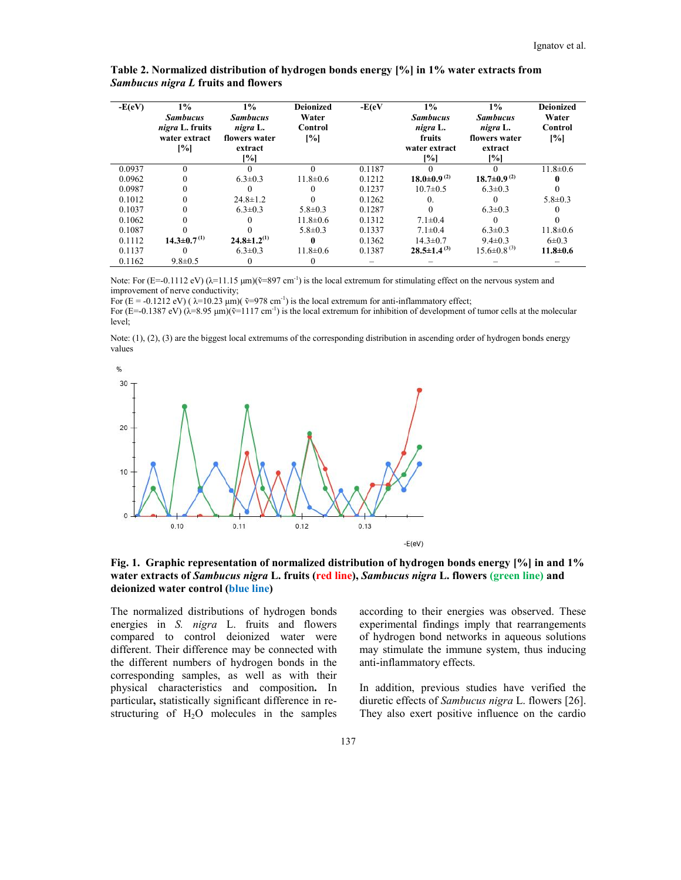| $-E(eV)$ | $1\%$<br><b>Sambucus</b><br>nigra L. fruits<br>water extract<br>[%] | <i>Sambucus nigra L fruits and flowers</i><br>$1\%$<br><b>Sambucus</b><br>nigra L.<br>flowers water<br>extract<br>[%] | <b>Deionized</b><br>Water<br>Control<br>[%] | $-E(eV)$ | Table 2. Normalized distribution of hydrogen bonds energy [%] in 1% water extracts from<br>$1\%$<br><b>Sambucus</b><br>nigra L.<br>fruits<br>water extract<br>[%] | $1\%$<br><b>Sambucus</b><br>nigra L.<br>flowers water<br>extract<br>[%] | <b>Deionized</b><br>Water<br>Control<br>$\left[\%\right]$ |
|----------|---------------------------------------------------------------------|-----------------------------------------------------------------------------------------------------------------------|---------------------------------------------|----------|-------------------------------------------------------------------------------------------------------------------------------------------------------------------|-------------------------------------------------------------------------|-----------------------------------------------------------|
| 0.0937   | $\Omega$                                                            |                                                                                                                       | $\Omega$                                    | 0.1187   |                                                                                                                                                                   |                                                                         | $11.8 \pm 0.6$                                            |
| 0.0962   |                                                                     | $6.3 \pm 0.3$                                                                                                         | $11.8 \pm 0.6$                              | 0.1212   | $18.0\pm0.9^{(2)}$                                                                                                                                                | $18.7 \pm 0.9^{(2)}$                                                    |                                                           |
| 0.0987   |                                                                     |                                                                                                                       |                                             | 0.1237   | $10.7 \pm 0.5$                                                                                                                                                    | $6.3 \pm 0.3$                                                           |                                                           |
| 0.1012   |                                                                     | $24.8 \pm 1.2$                                                                                                        |                                             | 0.1262   | $\theta$ .                                                                                                                                                        | $\Omega$                                                                | $5.8 \pm 0.3$                                             |
| 0.1037   |                                                                     | $6.3 \pm 0.3$                                                                                                         | $5.8 \pm 0.3$                               | 0.1287   | 0                                                                                                                                                                 | $6.3 \pm 0.3$                                                           |                                                           |
| 0.1062   |                                                                     |                                                                                                                       | $11.8 \pm 0.6$                              | 0.1312   | $7.1 \pm 0.4$                                                                                                                                                     | $\Omega$                                                                |                                                           |
| 0.1087   |                                                                     |                                                                                                                       | $5.8 \pm 0.3$                               | 0.1337   | $7.1 \pm 0.4$                                                                                                                                                     | $6.3 \pm 0.3$                                                           | $11.8 \pm 0.6$                                            |
| 0.1112   | $14.3 \pm 0.7^{(1)}$                                                | $24.8 \pm 1.2^{(1)}$                                                                                                  |                                             | 0.1362   | $14.3 \pm 0.7$                                                                                                                                                    | $9.4 \pm 0.3$                                                           | $6 \pm 0.3$                                               |
| 0.1137   |                                                                     | $6.3 \pm 0.3$                                                                                                         | $11.8 \pm 0.6$                              | 0.1387   | $28.5 \pm 1.4^{(3)}$                                                                                                                                              | $15.6 \pm 0.8^{(3)}$                                                    | $11.8 \pm 0.6$                                            |
| 0.1162   | $9.8 \pm 0.5$                                                       |                                                                                                                       | $\theta$                                    |          |                                                                                                                                                                   |                                                                         |                                                           |

*Sambucus nigra L* **fruits and flowers**

Note: For  $(E=-0.1112 \text{ eV})$  ( $\lambda=11.15 \text{ }\mu\text{m}}$ )( $\bar{v}=897 \text{ cm}^{-1}$ ) is the local extremum for stimulating effect on the nervous system and improvement of nerve conductivity;

For  $(E = -0.1212 \text{ eV})$  ( $\lambda = 10.23 \text{ }\mu\text{m}$ )  $(\tilde{v} = 978 \text{ cm}^{-1})$  is the local extremum for anti-inflammatory effect;

For  $(E=-0.1387 \text{ eV})$   $(\lambda=8.95 \mu \text{m})(\tilde{v}=1117 \text{ cm}^{-1})$  is the local extremum for inhibition of development of tumor cells at the molecular level;

Note:  $(1)$ ,  $(2)$ ,  $(3)$  are the biggest local extremums of the corresponding distribution in ascending order of hydrogen bonds energy values



**Fig. 1. Graphic representation of normalized distribution of hydrogen bonds energy [%] in and 1% of normalized water extracts of** *Sambucus nigra* **L. fruits (red line),** *Sambucus nigra* **L. flowers (green line) and deionized water control (blue line)** ing effect on the nervous system and<br>
matory effect;<br>
development of tumor cells at the molecular<br>
scending order of hydrogen bonds energy<br> **ogen bonds energy** [%] **in and 1%**<br>
ogen L. flowers (green line) and<br>
their energ

The normalized distributions of hydrogen bonds energies in *S. nigra* L. fruits and flowers compared to control deionized water were different. Their difference may be connected with the different numbers of hydrogen bonds in the corresponding samples, as well as with their physical characteristics and composition **.** In particular, statistically significant difference in restructuring of  $H_2O$  molecules in the samples The normalized distributions of hydrogen bo<br>energies in *S. nigra* L. fruits and flow<br>compared to control deionized water w<br>different. Their difference may be connected v<br>the different numbers of hydrogen bonds in<br>correspo istributions of hydrogen bonds<br>
nigra L. fruits and flowers<br>
experimental findings imply that rearrangements<br>
ntrol deionized water were<br>
of hydrogen bond networks in aqueous solutions<br>
ference may be connected with<br>
may s

experimental findings imply that rearrangements of hydrogen bond networks in aqueous solutions may stimulate the immune system, thus inducing anti-inflammatory effects.

In addition, previous studies have verified the diuretic effects of *Sambucus nigra* L. flowers [26]. diuretic effects of *Sambucus nigra* L. flowers They also exert positive influence on the cardio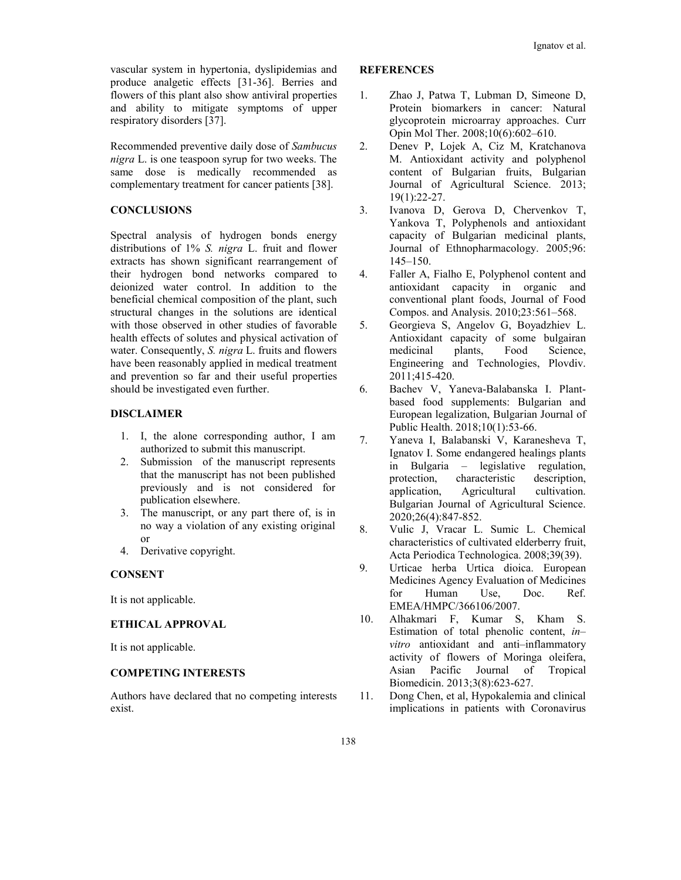vascular system in hypertonia, dyslipidemias and produce analgetic effects [31-36]. Berries and flowers of this plant also show antiviral properties and ability to mitigate symptoms of upper respiratory disorders [37].

Recommended preventive daily dose of *Sambucus nigra* L. is one teaspoon syrup for two weeks. The same dose is medically recommended as complementary treatment for cancer patients [38].

## **CONCLUSIONS**

Spectral analysis of hydrogen bonds energy distributions of 1% *S. nigra* L. fruit and flower extracts has shown significant rearrangement of their hydrogen bond networks compared to deionized water control. In addition to the beneficial chemical composition of the plant, such structural changes in the solutions are identical with those observed in other studies of favorable health effects of solutes and physical activation of water. Consequently, *S. nigra* L. fruits and flowers have been reasonably applied in medical treatment and prevention so far and their useful properties should be investigated even further.

## **DISCLAIMER**

- 1. I, the alone corresponding author, I am authorized to submit this manuscript.
- 2. Submission of the manuscript represents that the manuscript has not been published previously and is not considered for publication elsewhere.
- 3. The manuscript, or any part there of, is in no way a violation of any existing original or
- 4. Derivative copyright.

## **CONSENT**

It is not applicable.

#### **ETHICAL APPROVAL**

It is not applicable.

## **COMPETING INTERESTS**

Authors have declared that no competing interests exist.

## **REFERENCES**

- 1. Zhao J, Patwa T, Lubman D, Simeone D, Protein biomarkers in cancer: Natural glycoprotein microarray approaches. Curr Opin Mol Ther. 2008;10(6):602–610.
- 2. Denev P, Lojek A, Ciz M, Kratchanova M. Antioxidant activity and polyphenol content of Bulgarian fruits, Bulgarian Journal of Agricultural Science. 2013; 19(1):22-27.
- 3. Ivanova D, Gerova D, Chervenkov T, Yankova T, Polyphenols and antioxidant capacity of Bulgarian medicinal plants, Journal of Ethnopharmacology. 2005;96: 145–150.
- 4. Faller A, Fialho E, Polyphenol content and antioxidant capacity in organic and conventional plant foods, Journal of Food Compos. and Analysis. 2010;23:561–568.
- 5. Georgieva S, Angelov G, Boyadzhiev L. Antioxidant capacity of some bulgairan medicinal plants, Food Science, Engineering and Technologies, Plovdiv. 2011;415-420.
- 6. Bachev V, Yaneva-Balabanska I. Plantbased food supplements: Bulgarian and European legalization, Bulgarian Journal of Public Health. 2018;10(1):53-66.
- 7. Yaneva I, Balabanski V, Karanesheva T, Ignatov I. Some endangered healings plants in Bulgaria – legislative regulation, protection, characteristic description, application, Agricultural cultivation. Bulgarian Journal of Agricultural Science. 2020;26(4):847-852.
- 8. Vulic J, Vracar L. Sumic L. Chemical characteristics of cultivated elderberry fruit, Acta Periodica Technologica. 2008;39(39).
- 9. Urticae herba Urtica dioica. European Medicines Agency Evaluation of Medicines for Human Use, Doc. Ref. EMEA/HMPC/366106/2007.
- 10. Alhakmari F, Kumar S, Kham S. Estimation of total phenolic content, *in– vitro* antioxidant and anti–inflammatory activity of flowers of Moringa oleifera, Asian Pacific Journal of Tropical Biomedicin. 2013;3(8):623-627.
- 11. Dong Chen, et al, Hypokalemia and clinical implications in patients with Coronavirus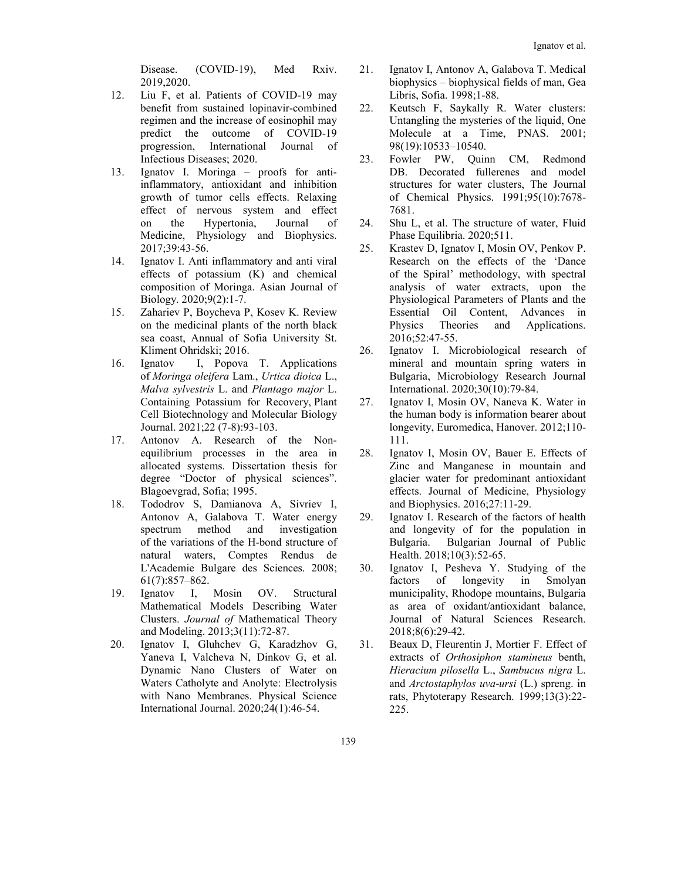Disease. (COVID-19), Med Rxiv. 2019,2020.

- 12. Liu F, et al. Patients of COVID-19 may benefit from sustained lopinavir-combined regimen and the increase of eosinophil may predict the outcome of COVID-19 progression, International Journal of Infectious Diseases; 2020.
- 13. Ignatov I. Moringa proofs for antiinflammatory, antioxidant and inhibition growth of tumor cells effects. Relaxing effect of nervous system and effect on the Hypertonia, Journal of Medicine, Physiology and Biophysics. 2017;39:43-56.
- 14. Ignatov I. Anti inflammatory and anti viral effects of potassium (K) and chemical composition of Moringa. Asian Journal of Biology. 2020;9(2):1-7.
- 15. Zahariev P, Boycheva P, Kosev K. Review on the medicinal plants of the north black sea coast, Annual of Sofia University St. Kliment Ohridski; 2016.
- 16. Ignatov I, Popova T. Applications of *Moringa oleifera* Lam., *Urtica dioica* L., *Malva sylvestris* L. and *Plantago major* L. Containing Potassium for Recovery, Plant Cell Biotechnology and Molecular Biology Journal. 2021;22 (7-8):93-103.
- 17. Antonov A. Research of the Nonequilibrium processes in the area in allocated systems. Dissertation thesis for degree "Doctor of physical sciences". Blagoevgrad, Sofia; 1995.
- 18. Tododrov S, Damianova A, Sivriev I, Antonov A, Galabova T. Water energy spectrum method and investigation of the variations of the H-bond structure of natural waters, Comptes Rendus de L'Academie Bulgare des Sciences. 2008; 61(7):857–862.
- 19. Ignatov I, Mosin OV. Structural Mathematical Models Describing Water Clusters. *Journal of* Mathematical Theory and Modeling. 2013;3(11):72-87.
- 20. Ignatov I, Gluhchev G, Karadzhov G, Yaneva I, Valcheva N, Dinkov G, et al. Dynamic Nano Clusters of Water on Waters Catholyte and Anolyte: Electrolysis with Nano Membranes. Physical Science International Journal. 2020;24(1):46-54.
- 21. Ignatov I, Antonov A, Galabova T. Medical biophysics – biophysical fields of man, Gea Libris, Sofia. 1998;1-88.
- 22. Keutsch F, Saykally R. Water clusters: Untangling the mysteries of the liquid, One Molecule at a Time, PNAS. 2001; 98(19):10533–10540.
- 23. Fowler PW, Quinn CM, Redmond DB. Decorated fullerenes and model structures for water clusters, The Journal of Chemical Physics. 1991;95(10):7678- 7681.
- 24. Shu L, et al. The structure of water, Fluid Phase Equilibria. 2020;511.
- 25. Krastev D, Ignatov I, Mosin OV, Penkov P. Research on the effects of the 'Dance of the Spiral' methodology, with spectral analysis of water extracts, upon the Physiological Parameters of Plants and the Essential Oil Content, Advances in Physics Theories and Applications. 2016;52:47-55.
- 26. Ignatov I. Microbiological research of mineral and mountain spring waters in Bulgaria, Microbiology Research Journal International. 2020;30(10):79-84.
- 27. Ignatov I, Mosin OV, Naneva K. Water in the human body is information bearer about longevity, Euromedica, Hanover. 2012;110- 111.
- 28. Ignatov I, Mosin OV, Bauer E. Effects of Zinc and Manganese in mountain and glacier water for predominant antioxidant effects. Journal of Medicine, Physiology and Biophysics. 2016;27:11-29.
- 29. Ignatov I. Research of the factors of health and longevity of for the population in Bulgaria. Bulgarian Journal of Public Health. 2018;10(3):52-65.
- 30. Ignatov I, Pesheva Y. Studying of the factors of longevity in Smolyan municipality, Rhodope mountains, Bulgaria as area of oxidant/antioxidant balance, Journal of Natural Sciences Research. 2018;8(6):29-42.
- 31. Beaux D, Fleurentin J, Mortier F. Effect of extracts of *Orthosiphon stamineus* benth, *Hieracium pilosella* L., *Sambucus nigra* L. and *Arctostaphylos uva‐ursi* (L.) spreng. in rats, Phytoterapy Research. 1999;13(3):22- 225.